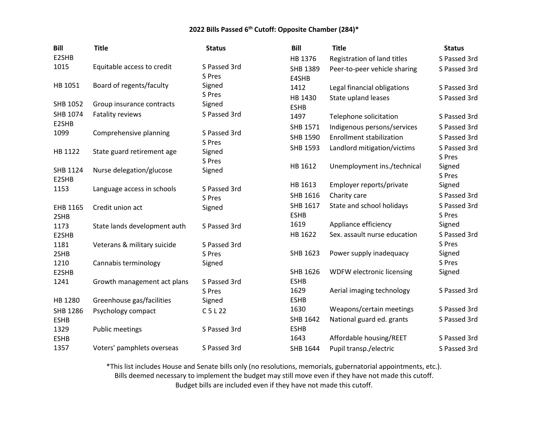| <b>Bill</b>         | <b>Title</b>                 | <b>Status</b>          | <b>Bill</b>         | <b>Title</b>                    | <b>Status</b> |
|---------------------|------------------------------|------------------------|---------------------|---------------------------------|---------------|
| E2SHB               |                              |                        | HB 1376             | Registration of land titles     | S Passed 3rd  |
| 1015                | Equitable access to credit   | S Passed 3rd           | SHB 1389            | Peer-to-peer vehicle sharing    | S Passed 3rd  |
|                     |                              | S Pres                 | E4SHB               |                                 |               |
| HB 1051             | Board of regents/faculty     | Signed                 | 1412                | Legal financial obligations     | S Passed 3rd  |
|                     |                              | S Pres                 | HB 1430             | State upland leases             | S Passed 3rd  |
| SHB 1052            | Group insurance contracts    | Signed                 | <b>ESHB</b>         |                                 |               |
| SHB 1074            | Fatality reviews             | S Passed 3rd           | 1497                | Telephone solicitation          | S Passed 3rd  |
| E2SHB               |                              |                        | SHB 1571            | Indigenous persons/services     | S Passed 3rd  |
| 1099                | Comprehensive planning       | S Passed 3rd<br>S Pres | SHB 1590            | <b>Enrollment stabilization</b> | S Passed 3rd  |
| HB 1122             | State guard retirement age   | Signed                 | SHB 1593            | Landlord mitigation/victims     | S Passed 3rd  |
|                     |                              | S Pres                 |                     |                                 | S Pres        |
| SHB 1124            | Nurse delegation/glucose     | Signed                 | HB 1612             | Unemployment ins./technical     | Signed        |
| E2SHB               |                              |                        |                     |                                 | S Pres        |
| 1153                | Language access in schools   | S Passed 3rd           | HB 1613             | Employer reports/private        | Signed        |
|                     |                              | S Pres                 | SHB 1616            | Charity care                    | S Passed 3rd  |
| EHB 1165            | Credit union act             | Signed                 | SHB 1617            | State and school holidays       | S Passed 3rd  |
| 2SHB                |                              |                        | <b>ESHB</b>         |                                 | S Pres        |
| 1173                | State lands development auth | S Passed 3rd           | 1619                | Appliance efficiency            | Signed        |
| E2SHB               |                              |                        | HB 1622             | Sex. assault nurse education    | S Passed 3rd  |
| 1181                | Veterans & military suicide  | S Passed 3rd           |                     |                                 | S Pres        |
| 2SHB                |                              | S Pres                 | SHB 1623            | Power supply inadequacy         | Signed        |
| 1210                | Cannabis terminology         | Signed                 |                     |                                 | S Pres        |
| E2SHB               |                              |                        | SHB 1626            | WDFW electronic licensing       | Signed        |
| 1241                | Growth management act plans  | S Passed 3rd           | <b>ESHB</b><br>1629 | Aerial imaging technology       | S Passed 3rd  |
| HB 1280             |                              | S Pres                 | <b>ESHB</b>         |                                 |               |
|                     | Greenhouse gas/facilities    | Signed                 | 1630                | Weapons/certain meetings        | S Passed 3rd  |
| <b>SHB 1286</b>     | Psychology compact           | $C$ 5 L 22             | SHB 1642            | National guard ed. grants       | S Passed 3rd  |
| <b>ESHB</b><br>1329 | <b>Public meetings</b>       | S Passed 3rd           | <b>ESHB</b>         |                                 |               |
| <b>ESHB</b>         |                              |                        | 1643                | Affordable housing/REET         | S Passed 3rd  |
| 1357                | Voters' pamphlets overseas   | S Passed 3rd           | SHB 1644            | Pupil transp./electric          | S Passed 3rd  |
|                     |                              |                        |                     |                                 |               |

\*This list includes House and Senate bills only (no resolutions, memorials, gubernatorial appointments, etc.). Bills deemed necessary to implement the budget may still move even if they have not made this cutoff.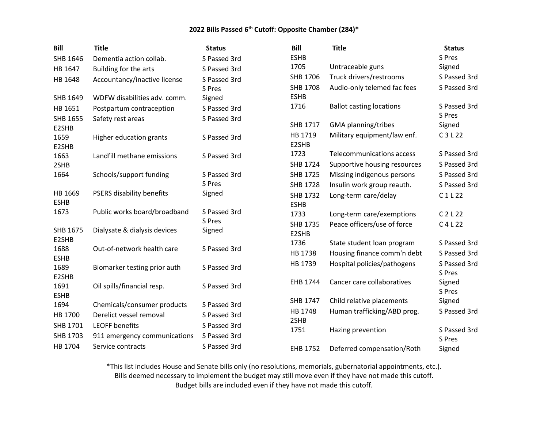| <b>Bill</b>         | <b>Title</b>                 | <b>Status</b> | <b>Bill</b>     | <b>Title</b>                    | <b>Status</b>    |
|---------------------|------------------------------|---------------|-----------------|---------------------------------|------------------|
| SHB 1646            | Dementia action collab.      | S Passed 3rd  | <b>ESHB</b>     |                                 | S Pres           |
| HB 1647             | Building for the arts        | S Passed 3rd  | 1705            | Untraceable guns                | Signed           |
| HB 1648             | Accountancy/inactive license | S Passed 3rd  | SHB 1706        | Truck drivers/restrooms         | S Passed 3rd     |
|                     |                              | S Pres        | <b>SHB 1708</b> | Audio-only telemed fac fees     | S Passed 3rd     |
| SHB 1649            | WDFW disabilities adv. comm. | Signed        | <b>ESHB</b>     |                                 |                  |
| HB 1651             | Postpartum contraception     | S Passed 3rd  | 1716            | <b>Ballot casting locations</b> | S Passed 3rd     |
| SHB 1655            | Safety rest areas            | S Passed 3rd  | SHB 1717        | GMA planning/tribes             | S Pres<br>Signed |
| E2SHB               |                              |               | HB 1719         | Military equipment/law enf.     | C3L22            |
| 1659<br>E2SHB       | Higher education grants      | S Passed 3rd  | E2SHB           |                                 |                  |
| 1663                | Landfill methane emissions   | S Passed 3rd  | 1723            | Telecommunications access       | S Passed 3rd     |
| 2SHB                |                              |               | <b>SHB 1724</b> | Supportive housing resources    | S Passed 3rd     |
| 1664                | Schools/support funding      | S Passed 3rd  | SHB 1725        | Missing indigenous persons      | S Passed 3rd     |
|                     |                              | S Pres        | <b>SHB 1728</b> | Insulin work group reauth.      | S Passed 3rd     |
| HB 1669             | PSERS disability benefits    | Signed        | <b>SHB 1732</b> | Long-term care/delay            | C1L22            |
| <b>ESHB</b>         |                              |               | <b>ESHB</b>     |                                 |                  |
| 1673                | Public works board/broadband | S Passed 3rd  | 1733            | Long-term care/exemptions       | C 2 L 22         |
|                     |                              | S Pres        | <b>SHB 1735</b> | Peace officers/use of force     | $C$ 4 L 22       |
| SHB 1675            | Dialysate & dialysis devices | Signed        | E2SHB           |                                 |                  |
| E2SHB               |                              |               | 1736            | State student loan program      | S Passed 3rd     |
| 1688<br><b>ESHB</b> | Out-of-network health care   | S Passed 3rd  | HB 1738         | Housing finance comm'n debt     | S Passed 3rd     |
| 1689                | Biomarker testing prior auth | S Passed 3rd  | HB 1739         | Hospital policies/pathogens     | S Passed 3rd     |
| E2SHB               |                              |               |                 |                                 | S Pres           |
| 1691                | Oil spills/financial resp.   | S Passed 3rd  | EHB 1744        | Cancer care collaboratives      | Signed           |
| <b>ESHB</b>         |                              |               |                 |                                 | S Pres           |
| 1694                | Chemicals/consumer products  | S Passed 3rd  | SHB 1747        | Child relative placements       | Signed           |
| HB 1700             | Derelict vessel removal      | S Passed 3rd  | HB 1748         | Human trafficking/ABD prog.     | S Passed 3rd     |
| SHB 1701            | <b>LEOFF benefits</b>        | S Passed 3rd  | 2SHB            |                                 |                  |
| SHB 1703            | 911 emergency communications | S Passed 3rd  | 1751            | Hazing prevention               | S Passed 3rd     |
| HB 1704             | Service contracts            | S Passed 3rd  |                 |                                 | S Pres           |
|                     |                              |               | EHB 1752        | Deferred compensation/Roth      | Signed           |

\*This list includes House and Senate bills only (no resolutions, memorials, gubernatorial appointments, etc.). Bills deemed necessary to implement the budget may still move even if they have not made this cutoff.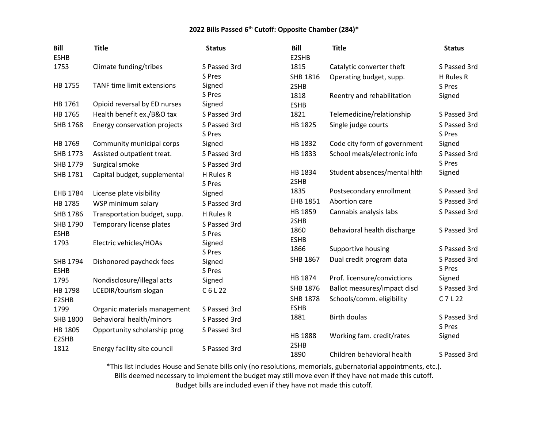| <b>Bill</b><br><b>ESHB</b> | <b>Title</b>                      | <b>Status</b>          | <b>Bill</b><br>E2SHB | <b>Title</b>                 | <b>Status</b>          |
|----------------------------|-----------------------------------|------------------------|----------------------|------------------------------|------------------------|
| 1753                       | Climate funding/tribes            | S Passed 3rd           | 1815                 | Catalytic converter theft    | S Passed 3rd           |
|                            |                                   | S Pres                 | SHB 1816             | Operating budget, supp.      | H Rules R              |
| HB 1755                    | <b>TANF time limit extensions</b> | Signed                 | 2SHB                 |                              | S Pres                 |
|                            |                                   | S Pres                 | 1818                 | Reentry and rehabilitation   | Signed                 |
| HB 1761                    | Opioid reversal by ED nurses      | Signed                 | <b>ESHB</b>          |                              |                        |
| HB 1765                    | Health benefit ex./B&O tax        | S Passed 3rd           | 1821                 | Telemedicine/relationship    | S Passed 3rd           |
| SHB 1768                   | Energy conservation projects      | S Passed 3rd<br>S Pres | HB 1825              | Single judge courts          | S Passed 3rd<br>S Pres |
| HB 1769                    | Community municipal corps         | Signed                 | HB 1832              | Code city form of government | Signed                 |
| SHB 1773                   | Assisted outpatient treat.        | S Passed 3rd           | HB 1833              | School meals/electronic info | S Passed 3rd           |
| SHB 1779                   | Surgical smoke                    | S Passed 3rd           |                      |                              | S Pres                 |
| SHB 1781                   | Capital budget, supplemental      | H Rules R              | HB 1834<br>2SHB      | Student absences/mental hith | Signed                 |
| EHB 1784                   | License plate visibility          | S Pres<br>Signed       | 1835                 | Postsecondary enrollment     | S Passed 3rd           |
| HB 1785                    | WSP minimum salary                | S Passed 3rd           | EHB 1851             | Abortion care                | S Passed 3rd           |
| SHB 1786                   | Transportation budget, supp.      | H Rules R              | HB 1859              | Cannabis analysis labs       | S Passed 3rd           |
| SHB 1790                   | Temporary license plates          | S Passed 3rd           | 2SHB                 |                              |                        |
| <b>ESHB</b>                |                                   | S Pres                 | 1860                 | Behavioral health discharge  | S Passed 3rd           |
| 1793                       | Electric vehicles/HOAs            | Signed                 | <b>ESHB</b>          |                              |                        |
|                            |                                   | S Pres                 | 1866                 | Supportive housing           | S Passed 3rd           |
| SHB 1794<br><b>ESHB</b>    | Dishonored paycheck fees          | Signed<br>S Pres       | SHB 1867             | Dual credit program data     | S Passed 3rd<br>S Pres |
| 1795                       | Nondisclosure/illegal acts        | Signed                 | HB 1874              | Prof. licensure/convictions  | Signed                 |
| HB 1798                    | LCEDIR/tourism slogan             | C6L22                  | SHB 1876             | Ballot measures/impact discl | S Passed 3rd           |
| E2SHB                      |                                   |                        | <b>SHB 1878</b>      | Schools/comm. eligibility    | $C$ 7 L 22             |
| 1799                       | Organic materials management      | S Passed 3rd           | <b>ESHB</b>          |                              |                        |
| <b>SHB 1800</b>            | Behavioral health/minors          | S Passed 3rd           | 1881                 | <b>Birth doulas</b>          | S Passed 3rd           |
| HB 1805                    | Opportunity scholarship prog      | S Passed 3rd           |                      |                              | S Pres                 |
| E2SHB                      |                                   |                        | HB 1888              | Working fam. credit/rates    | Signed                 |
| 1812                       | Energy facility site council      | S Passed 3rd           | 2SHB                 |                              |                        |
|                            |                                   |                        | 1890                 | Children behavioral health   | S Passed 3rd           |

\*This list includes House and Senate bills only (no resolutions, memorials, gubernatorial appointments, etc.). Bills deemed necessary to implement the budget may still move even if they have not made this cutoff.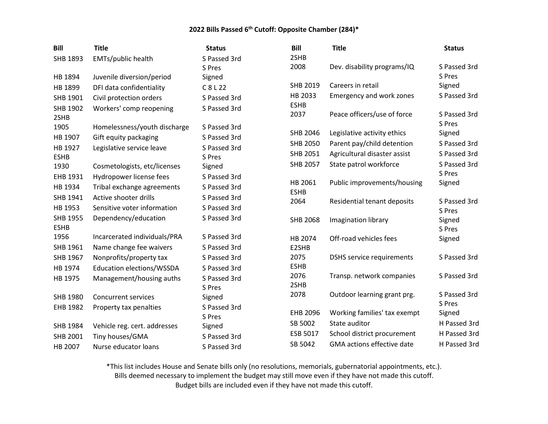| <b>Bill</b>                    | <b>Title</b>                     | <b>Status</b>          | <b>Bill</b>         | <b>Title</b>                      | <b>Status</b>          |
|--------------------------------|----------------------------------|------------------------|---------------------|-----------------------------------|------------------------|
| SHB 1893                       | EMTs/public health               | S Passed 3rd           | 2SHB                |                                   |                        |
|                                |                                  | S Pres                 | 2008                | Dev. disability programs/IQ       | S Passed 3rd           |
| HB 1894                        | Juvenile diversion/period        | Signed                 |                     |                                   | S Pres                 |
| HB 1899                        | DFI data confidentiality         | C 8 L 22               | SHB 2019            | Careers in retail                 | Signed                 |
| SHB 1901                       | Civil protection orders          | S Passed 3rd           | HB 2033             | Emergency and work zones          | S Passed 3rd           |
| SHB 1902<br>2SHB               | Workers' comp reopening          | S Passed 3rd           | <b>ESHB</b><br>2037 | Peace officers/use of force       | S Passed 3rd           |
| 1905                           | Homelessness/youth discharge     | S Passed 3rd           | SHB 2046            | Legislative activity ethics       | S Pres<br>Signed       |
| HB 1907                        | Gift equity packaging            | S Passed 3rd           | SHB 2050            | Parent pay/child detention        | S Passed 3rd           |
| HB 1927                        | Legislative service leave        | S Passed 3rd<br>S Pres | SHB 2051            | Agricultural disaster assist      | S Passed 3rd           |
| <b>ESHB</b><br>1930            | Cosmetologists, etc/licenses     | Signed                 | <b>SHB 2057</b>     | State patrol workforce            | S Passed 3rd           |
| EHB 1931                       | Hydropower license fees          | S Passed 3rd           |                     |                                   | S Pres                 |
| HB 1934                        | Tribal exchange agreements       | S Passed 3rd           | HB 2061             | Public improvements/housing       | Signed                 |
| SHB 1941                       | Active shooter drills            | S Passed 3rd           | <b>ESHB</b>         |                                   |                        |
| HB 1953                        | Sensitive voter information      | S Passed 3rd           | 2064                | Residential tenant deposits       | S Passed 3rd<br>S Pres |
| <b>SHB 1955</b><br><b>ESHB</b> | Dependency/education             | S Passed 3rd           | <b>SHB 2068</b>     | Imagination library               | Signed<br>S Pres       |
| 1956                           | Incarcerated individuals/PRA     | S Passed 3rd           | HB 2074             | Off-road vehicles fees            | Signed                 |
| SHB 1961                       | Name change fee waivers          | S Passed 3rd           | E2SHB               |                                   |                        |
| SHB 1967                       | Nonprofits/property tax          | S Passed 3rd           | 2075                | <b>DSHS</b> service requirements  | S Passed 3rd           |
| HB 1974                        | <b>Education elections/WSSDA</b> | S Passed 3rd           | <b>ESHB</b>         |                                   |                        |
| HB 1975                        | Management/housing auths         | S Passed 3rd<br>S Pres | 2076<br>2SHB        | Transp. network companies         | S Passed 3rd           |
| SHB 1980                       | <b>Concurrent services</b>       | Signed                 | 2078                | Outdoor learning grant prg.       | S Passed 3rd           |
| EHB 1982                       | Property tax penalties           | S Passed 3rd<br>S Pres | <b>EHB 2096</b>     | Working families' tax exempt      | S Pres<br>Signed       |
| <b>SHB 1984</b>                | Vehicle reg. cert. addresses     | Signed                 | SB 5002             | State auditor                     | H Passed 3rd           |
| SHB 2001                       | Tiny houses/GMA                  | S Passed 3rd           | ESB 5017            | School district procurement       | H Passed 3rd           |
| HB 2007                        | Nurse educator loans             | S Passed 3rd           | SB 5042             | <b>GMA</b> actions effective date | H Passed 3rd           |

\*This list includes House and Senate bills only (no resolutions, memorials, gubernatorial appointments, etc.). Bills deemed necessary to implement the budget may still move even if they have not made this cutoff. Budget bills are included even if they have not made this cutoff.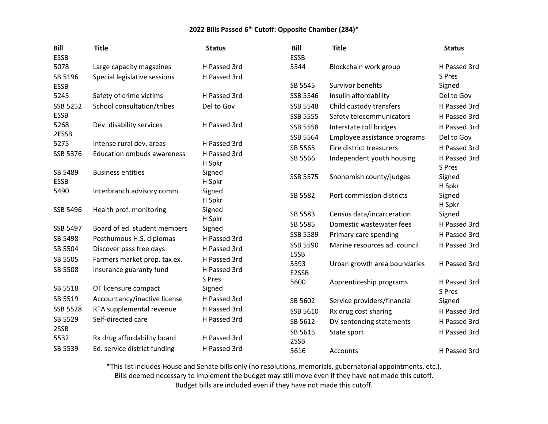| <b>Bill</b><br><b>ESSB</b> | <b>Title</b>                                            | <b>Status</b>                | <b>Bill</b><br><b>ESSB</b> | <b>Title</b>                 | <b>Status</b>          |
|----------------------------|---------------------------------------------------------|------------------------------|----------------------------|------------------------------|------------------------|
| 5078                       | Large capacity magazines                                | H Passed 3rd                 | 5544                       | Blockchain work group        | H Passed 3rd           |
| SB 5196                    | Special legislative sessions                            | H Passed 3rd                 |                            |                              | S Pres                 |
| <b>ESSB</b>                |                                                         |                              | SB 5545                    | Survivor benefits            | Signed                 |
| 5245                       | Safety of crime victims                                 | H Passed 3rd                 | SSB 5546                   | Insulin affordability        | Del to Gov             |
| SSB 5252                   | School consultation/tribes                              | Del to Gov                   | <b>SSB 5548</b>            | Child custody transfers      | H Passed 3rd           |
| <b>ESSB</b>                |                                                         |                              | SSB 5555                   | Safety telecommunicators     | H Passed 3rd           |
| 5268                       | Dev. disability services                                | H Passed 3rd                 | <b>SSB 5558</b>            | Interstate toll bridges      | H Passed 3rd           |
| 2ESSB<br>5275              | Intense rural dev. areas                                | H Passed 3rd                 | SSB 5564                   | Employee assistance programs | Del to Gov             |
| SSB 5376                   | <b>Education ombuds awareness</b>                       | H Passed 3rd                 | SB 5565                    | Fire district treasurers     | H Passed 3rd           |
|                            |                                                         | H Spkr                       | SB 5566                    | Independent youth housing    | H Passed 3rd<br>S Pres |
| SB 5489<br><b>ESSB</b>     | <b>Business entities</b>                                | Signed<br>H Spkr             | SSB 5575                   | Snohomish county/judges      | Signed<br>H Spkr       |
| 5490                       | Interbranch advisory comm.                              | Signed<br>H Spkr             | SB 5582                    | Port commission districts    | Signed<br>H Spkr       |
| SSB 5496                   | Health prof. monitoring                                 | Signed                       | SB 5583                    | Census data/incarceration    | Signed                 |
| SSB 5497                   | Board of ed. student members                            | H Spkr                       | SB 5585                    | Domestic wastewater fees     | H Passed 3rd           |
| SB 5498                    |                                                         | Signed<br>H Passed 3rd       | SSB 5589                   | Primary care spending        | H Passed 3rd           |
|                            | Posthumous H.S. diplomas                                | H Passed 3rd                 | <b>SSB 5590</b>            | Marine resources ad. council | H Passed 3rd           |
| SB 5504                    | Discover pass free days                                 |                              | <b>ESSB</b>                |                              |                        |
| SB 5505<br>SB 5508         | Farmers market prop. tax ex.<br>Insurance guaranty fund | H Passed 3rd<br>H Passed 3rd | 5593<br>E2SSB              | Urban growth area boundaries | H Passed 3rd           |
| SB 5518                    | OT licensure compact                                    | S Pres<br>Signed             | 5600                       | Apprenticeship programs      | H Passed 3rd<br>S Pres |
| SB 5519                    | Accountancy/inactive license                            | H Passed 3rd                 | SB 5602                    | Service providers/financial  | Signed                 |
| <b>SSB 5528</b>            | RTA supplemental revenue                                | H Passed 3rd                 | SSB 5610                   | Rx drug cost sharing         | H Passed 3rd           |
| SB 5529                    | Self-directed care                                      | H Passed 3rd                 | SB 5612                    | DV sentencing statements     | H Passed 3rd           |
| 2SSB                       |                                                         |                              | SB 5615                    | State sport                  | H Passed 3rd           |
| 5532                       | Rx drug affordability board                             | H Passed 3rd                 | 2SSB                       |                              |                        |
| SB 5539                    | Ed. service district funding                            | H Passed 3rd                 | 5616                       | Accounts                     | H Passed 3rd           |

\*This list includes House and Senate bills only (no resolutions, memorials, gubernatorial appointments, etc.).

Bills deemed necessary to implement the budget may still move even if they have not made this cutoff.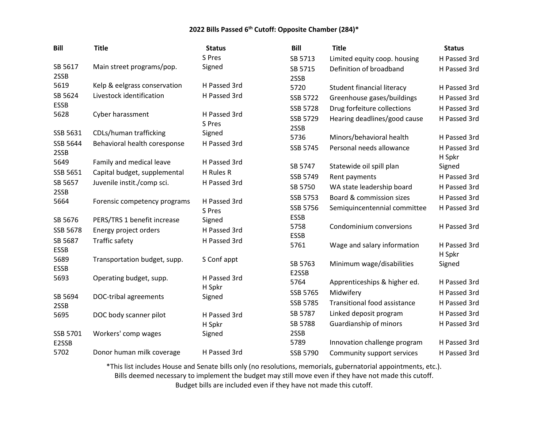| <b>Bill</b>       | <b>Title</b>                 | <b>Status</b>          | <b>Bill</b>     | <b>Title</b>                 | <b>Status</b> |
|-------------------|------------------------------|------------------------|-----------------|------------------------------|---------------|
|                   |                              | S Pres                 | SB 5713         | Limited equity coop. housing | H Passed 3rd  |
| SB 5617           | Main street programs/pop.    | Signed                 | SB 5715         | Definition of broadband      | H Passed 3rd  |
| 2SSB              |                              |                        | 2SSB            |                              |               |
| 5619              | Kelp & eelgrass conservation | H Passed 3rd           | 5720            | Student financial literacy   | H Passed 3rd  |
| SB 5624           | Livestock identification     | H Passed 3rd           | SSB 5722        | Greenhouse gases/buildings   | H Passed 3rd  |
| <b>ESSB</b>       |                              |                        | SSB 5728        | Drug forfeiture collections  | H Passed 3rd  |
| 5628              | Cyber harassment             | H Passed 3rd<br>S Pres | SSB 5729        | Hearing deadlines/good cause | H Passed 3rd  |
| SSB 5631          | CDLs/human trafficking       | Signed                 | 2SSB            |                              |               |
| SSB 5644          |                              | H Passed 3rd           | 5736            | Minors/behavioral health     | H Passed 3rd  |
| 2SSB              | Behavioral health coresponse |                        | SSB 5745        | Personal needs allowance     | H Passed 3rd  |
| 5649              | Family and medical leave     | H Passed 3rd           |                 |                              | H Spkr        |
| SSB 5651          | Capital budget, supplemental | H Rules R              | SB 5747         | Statewide oil spill plan     | Signed        |
| SB 5657           | Juvenile instit./comp sci.   | H Passed 3rd           | SSB 5749        | Rent payments                | H Passed 3rd  |
| 2SSB              |                              |                        | SB 5750         | WA state leadership board    | H Passed 3rd  |
| 5664              | Forensic competency programs | H Passed 3rd           | SSB 5753        | Board & commission sizes     | H Passed 3rd  |
|                   |                              | S Pres                 | SSB 5756        | Semiquincentennial committee | H Passed 3rd  |
| SB 5676           | PERS/TRS 1 benefit increase  | Signed                 | <b>ESSB</b>     |                              |               |
| SSB 5678          | Energy project orders        | H Passed 3rd           | 5758            | Condominium conversions      | H Passed 3rd  |
| SB 5687           | Traffic safety               | H Passed 3rd           | <b>ESSB</b>     |                              |               |
| <b>ESSB</b>       |                              |                        | 5761            | Wage and salary information  | H Passed 3rd  |
| 5689              | Transportation budget, supp. | S Conf appt            | SB 5763         |                              | H Spkr        |
| <b>ESSB</b>       |                              |                        | E2SSB           | Minimum wage/disabilities    | Signed        |
| 5693              | Operating budget, supp.      | H Passed 3rd           | 5764            | Apprenticeships & higher ed. | H Passed 3rd  |
|                   |                              | H Spkr                 | SSB 5765        | Midwifery                    | H Passed 3rd  |
| SB 5694           | <b>DOC-tribal agreements</b> | Signed                 | <b>SSB 5785</b> | Transitional food assistance | H Passed 3rd  |
| 2SSB              |                              |                        |                 |                              |               |
| 5695              | DOC body scanner pilot       | H Passed 3rd           | SB 5787         | Linked deposit program       | H Passed 3rd  |
|                   |                              | H Spkr                 | SB 5788         | Guardianship of minors       | H Passed 3rd  |
| SSB 5701<br>E2SSB | Workers' comp wages          | Signed                 | 2SSB<br>5789    | Innovation challenge program | H Passed 3rd  |
| 5702              | Donor human milk coverage    | H Passed 3rd           |                 |                              |               |
|                   |                              |                        | SSB 5790        | Community support services   | H Passed 3rd  |

\*This list includes House and Senate bills only (no resolutions, memorials, gubernatorial appointments, etc.). Bills deemed necessary to implement the budget may still move even if they have not made this cutoff. Budget bills are included even if they have not made this cutoff.